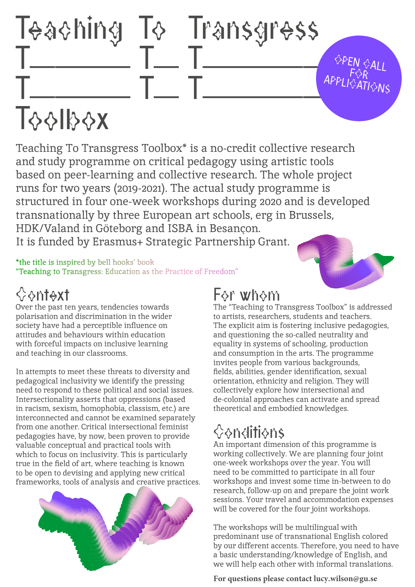# Teaching To Transgress  $\frac{1}{2}$   $\frac{1}{2}$   $\frac{1}{2}$   $\frac{1}{2}$   $\frac{1}{2}$   $\frac{1}{2}$ T———— T— T—————

**OPEN CALL**  $\mathsf{F}\lozenge\!\mathsf{R}$ APPLICATIONS

# **Toolbox**

Teaching To Transgress Toolbox\* is a no-credit collective research and study programme on critical pedagogy using artistic tools based on peer-learning and collective research. The whole project runs for two years (2019-2021). The actual study programme is structured in four one-week workshops during 2020 and is developed transnationally by three European art schools, erg in Brussels, HDK/Valand in Göteborg and ISBA in Besançon. It is funded by Erasmus+ Strategic Partnership Grant.

\*the title is inspired by bell hooks' book "Teaching to Transgress: Education as the Practice of Freedom"

## **Scontext**

Over the past ten years, tendencies towards polarisation and discrimination in the wider society have had a perceptible influence on attitudes and behaviours within education with forceful impacts on inclusive learning and teaching in our classrooms.

In attempts to meet these threats to diversity and pedagogical inclusivity we identify the pressing need to respond to these political and social issues. Intersectionality asserts that oppressions (based in racism, sexism, homophobia, classism, etc.) are interconnected and cannot be examined separately from one another. Critical intersectional feminist pedagogies have, by now, been proven to provide valuable conceptual and practical tools with which to focus on inclusivity. This is particularly true in the field of art, where teaching is known to be open to devising and applying new critical frameworks, tools of analysis and creative practices.



## For whom

The "Teaching to Transgress Toolbox" is addressed to artists, researchers, students and teachers. The explicit aim is fostering inclusive pedagogies, and questioning the so-called neutrality and equality in systems of schooling, production and consumption in the arts. The programme invites people from various backgrounds, fields, abilities, gender identification, sexual orientation, ethnicity and religion. They will collectively explore how intersectional and de-colonial approaches can activate and spread theoretical and embodied knowledges.

# Conditions

An important dimension of this programme is working collectively. We are planning four joint one-week workshops over the year. You will need to be committed to participate in all four workshops and invest some time in-between to do research, follow-up on and prepare the joint work sessions. Your travel and accommodation expenses will be covered for the four joint workshops.

The workshops will be multilingual with predominant use of transnational English colored by our different accents. Therefore, you need to have a basic understanding/knowledge of English, and we will help each other with informal translations.

**For questions please contact lucy.wilson@gu.se**